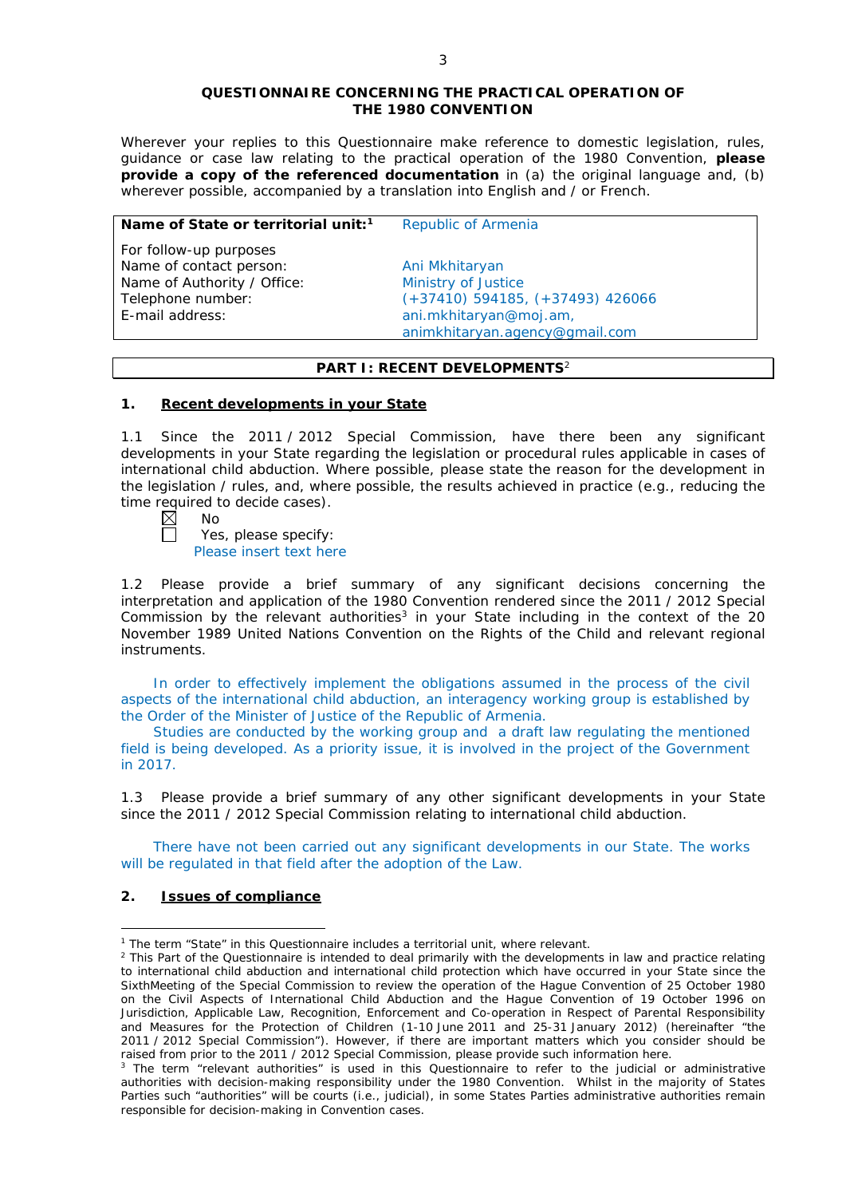#### **QUESTIONNAIRE CONCERNING THE PRACTICAL OPERATION OF THE 1980 CONVENTION**

*Wherever your replies to this Questionnaire make reference to domestic legislation, rules, guidance or case law relating to the practical operation of the 1980 Convention, please provide a copy of the referenced documentation in (a) the original language and, (b) wherever possible, accompanied by a translation into English and / or French.* 

| Name of State or territorial unit: <sup>1</sup> | Republic of Armenia                  |  |
|-------------------------------------------------|--------------------------------------|--|
| For follow-up purposes                          |                                      |  |
| Name of contact person:                         | Ani Mkhitaryan                       |  |
| Name of Authority / Office:                     | Ministry of Justice                  |  |
| Telephone number:                               | $(+37410)$ 594185, $(+37493)$ 426066 |  |
| E-mail address:                                 | ani.mkhitaryan@moj.am,               |  |
|                                                 | animkhitaryan.agency@gmail.com       |  |

# **PART I: RECENT DEVELOPMENTS**<sup>2</sup>

### **1. Recent developments in your State**

1.1 Since the 2011 / 2012 Special Commission, have there been any significant developments in your State regarding the legislation or procedural rules applicable in cases of international child abduction. Where possible, please state the reason for the development in the legislation / rules, and, where possible, the results achieved in practice (*e.g.*, reducing the time required to decide cases).<br> $\boxtimes$  No

No

 $\Box$ 

Yes, please specify: Please insert text here

1.2 Please provide a brief summary of any significant decisions concerning the interpretation and application of the 1980 Convention rendered since the 2011 / 2012 Special Commission by the relevant authorities<sup>3</sup> in your State including in the context of the 20 November 1989 United Nations Convention on the Rights of the Child and relevant regional instruments.

In order to effectively implement the obligations assumed in the process of the civil aspects of the international child abduction, an interagency working group is established by the Order of the Minister of Justice of the Republic of Armenia.

Studies are conducted by the working group and a draft law regulating the mentioned field is being developed. As a priority issue, it is involved in the project of the Government in 2017.

1.3 Please provide a brief summary of any other significant developments in your State since the 2011 / 2012 Special Commission relating to international child abduction.

There have not been carried out any significant developments in our State. The works will be regulated in that field after the adoption of the Law.

## **2. Issues of compliance**

<u>.</u>

<sup>&</sup>lt;sup>1</sup> The term "State" in this Questionnaire includes a territorial unit, where relevant.

 $<sup>2</sup>$  This Part of the Questionnaire is intended to deal primarily with the developments in law and practice relating</sup> to international child abduction and international child protection which have occurred in your State since the SixthMeeting of the Special Commission to review the operation of the *Hague Convention of 25 October 1980 on the Civil Aspects of International Child Abduction* and the *Hague Convention of 19 October 1996 on Jurisdiction, Applicable Law, Recognition, Enforcement and Co-operation in Respect of Parental Responsibility and Measures for the Protection of Children* (1-10 June 2011 and 25-31 January 2012) (hereinafter "the 2011 / 2012 Special Commission"). However, if there are important matters which you consider should be raised from *prior to* the 2011 / 2012 Special Commission, please provide such information here.

<sup>&</sup>lt;sup>3</sup> The term "relevant authorities" is used in this Questionnaire to refer to the judicial or administrative authorities with decision-making responsibility under the 1980 Convention. Whilst in the majority of States Parties such "authorities" will be courts (*i.e.*, judicial), in some States Parties administrative authorities remain responsible for decision-making in Convention cases.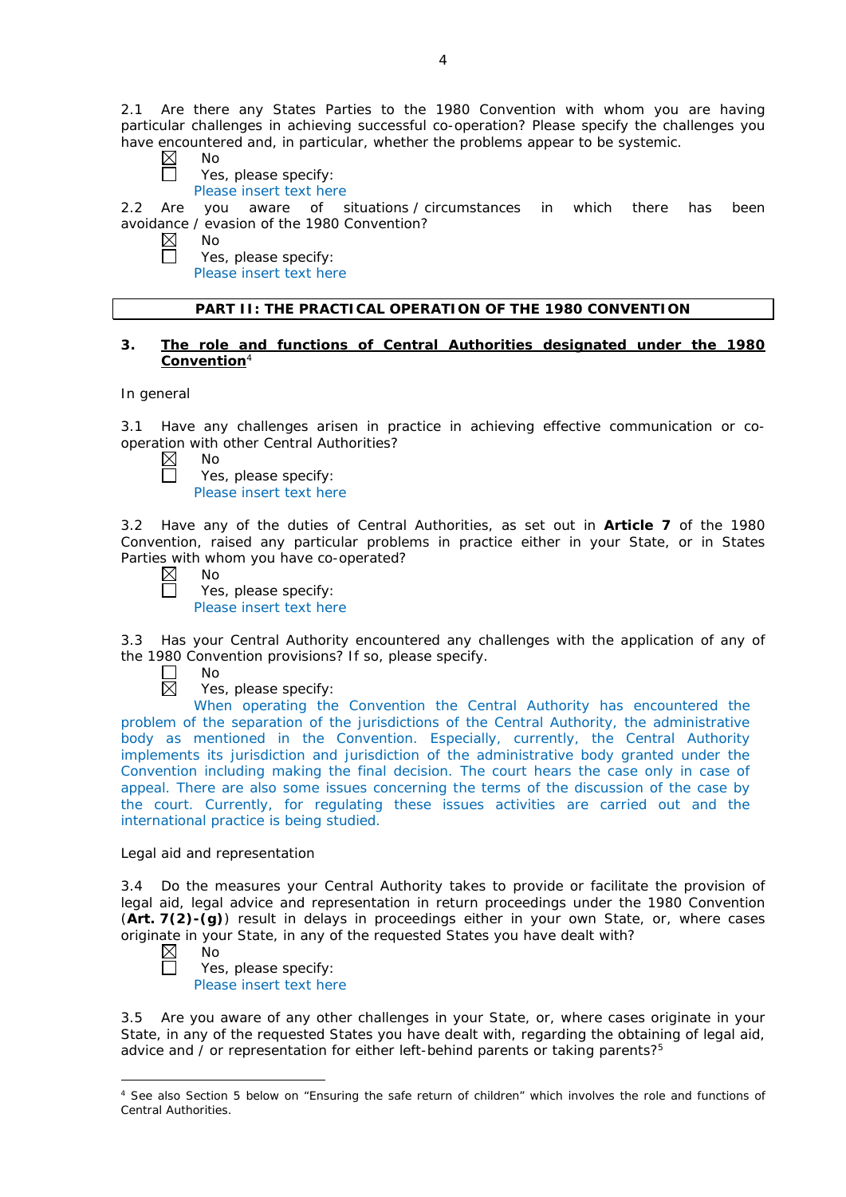2.1 Are there any States Parties to the 1980 Convention with whom you are having particular challenges in achieving successful co-operation? Please specify the challenges you have encountered and, in particular, whether the problems appear to be systemic.<br>  $\boxtimes$  No

 $\Box$ 

- No Yes, please specify:
- Please insert text here

2.2 Are you aware of situations / circumstances in which there has been avoidance / evasion of the 1980 Convention?

- $\boxtimes$ No  $\Box$ 
	- Yes, please specify:
	- Please insert text here

### **PART II: THE PRACTICAL OPERATION OF THE 1980 CONVENTION**

### **3. The role and functions of Central Authorities designated under the 1980 Convention**<sup>4</sup>

#### *In general*

3.1 Have any challenges arisen in practice in achieving effective communication or cooperation with other Central Authorities?

 $\boxtimes$ No

| Yes, please specify:    |  |
|-------------------------|--|
| Dlogge incont tout have |  |

Please insert text here

3.2 Have any of the duties of Central Authorities, as set out in **Article 7** of the 1980 Convention, raised any particular problems in practice either in your State, or in States Parties with whom you have co-operated?

 $\boxtimes$ No

 $\Box$ 

Yes, please specify: Please insert text here

3.3 Has your Central Authority encountered any challenges with the application of any of the 1980 Convention provisions? If so, please specify.

 $\Box$ No 岗

Yes, please specify:

When operating the Convention the Central Authority has encountered the problem of the separation of the jurisdictions of the Central Authority, the administrative body as mentioned in the Convention. Especially, currently, the Central Authority implements its jurisdiction and jurisdiction of the administrative body granted under the Convention including making the final decision. The court hears the case only in case of appeal. There are also some issues concerning the terms of the discussion of the case by the court. Currently, for regulating these issues activities are carried out and the international practice is being studied.

### *Legal aid and representation*

3.4 Do the measures your Central Authority takes to provide or facilitate the provision of legal aid, legal advice and representation in return proceedings under the 1980 Convention (**Art. 7(2)-(g)**) result in delays in proceedings either in your own State, or, where cases originate in your State, in any of the requested States you have dealt with?

- $\boxtimes$ No  $\Box$ 
	- Yes, please specify: Please insert text here

3.5 Are you aware of any other challenges in your State, or, where cases originate in your State, in any of the requested States you have dealt with, regarding the obtaining of legal aid, advice and  $\overline{\prime}$  or representation for either left-behind parents or taking parents?<sup>5</sup>

<sup>-</sup><sup>4</sup> See also Section 5 below on "Ensuring the safe return of children" which involves the role and functions of Central Authorities.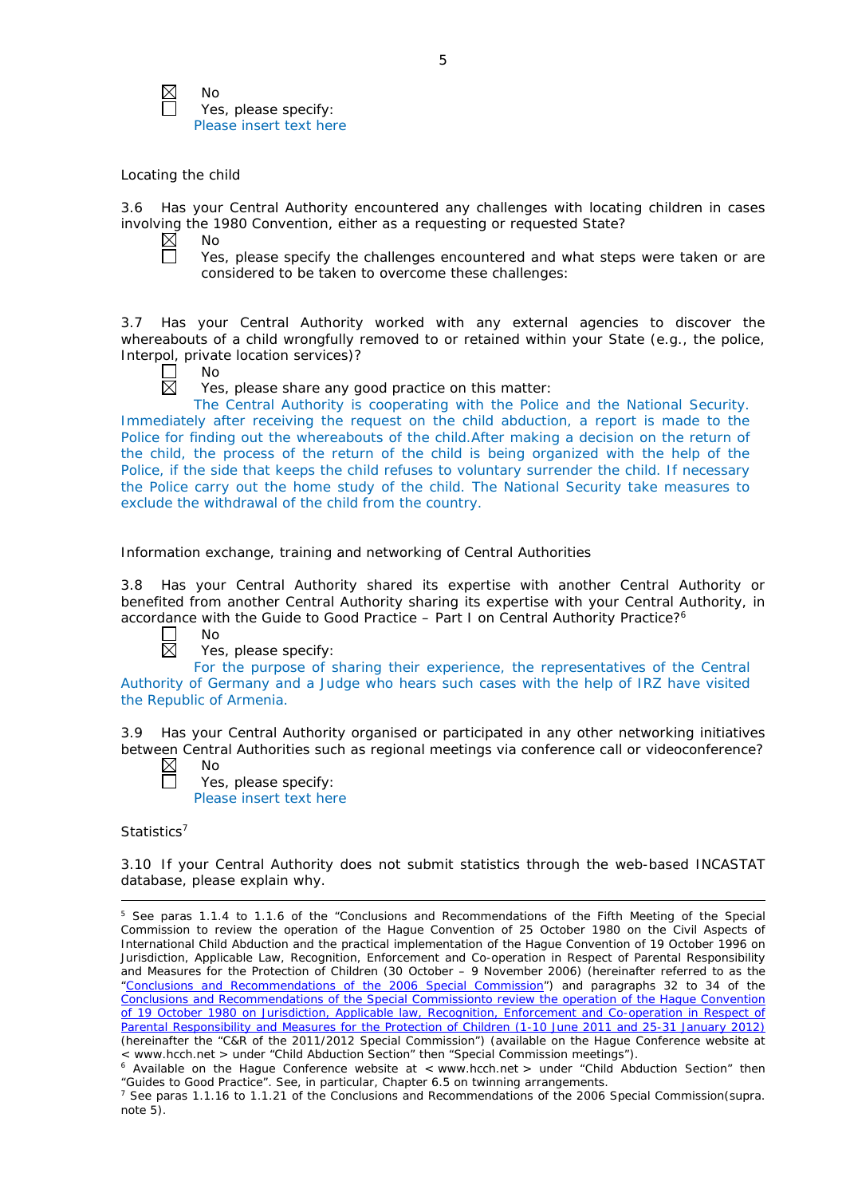

No Yes, please specify: Please insert text here

### *Locating the child*

3.6 Has your Central Authority encountered any challenges with locating children in cases involving the 1980 Convention, either as a requesting or requested State?<br>  $\boxtimes$  No

 $\Box$ 

No

Yes, please specify the challenges encountered and what steps were taken or are considered to be taken to overcome these challenges:

3.7 Has your Central Authority worked with any external agencies to discover the whereabouts of a child wrongfully removed to or retained within your State (*e.g.*, the police, Interpol, private location services)?

| г |  |  |
|---|--|--|
|   |  |  |

 $\boxtimes$ 

Yes, please share any good practice on this matter:

The Central Authority is cooperating with the Police and the National Security. Immediately after receiving the request on the child abduction, a report is made to the Police for finding out the whereabouts of the child.After making a decision on the return of the child, the process of the return of the child is being organized with the help of the Police, if the side that keeps the child refuses to voluntary surrender the child. If necessary the Police carry out the home study of the child. The National Security take measures to exclude the withdrawal of the child from the country.

### *Information exchange, training and networking of Central Authorities*

3.8 Has your Central Authority shared its expertise with another Central Authority or benefited from another Central Authority sharing its expertise with your Central Authority, in accordance with the Guide to Good Practice  $-$  Part I on Central Authority Practice?<sup>6</sup>

- $\Box$ No  $\overline{\boxtimes}$ 
	- Yes, please specify:

For the purpose of sharing their experience, the representatives of the Central Authority of Germany and a Judge who hears such cases with the help of IRZ have visited the Republic of Armenia.

3.9 Has your Central Authority organised or participated in any other networking initiatives between Central Authorities such as regional meetings via conference call or videoconference? No

- $\boxtimes$ 
	- Yes, please specify: Please insert text here

*Statistics*<sup>7</sup>

<u>.</u>

3.10 If your Central Authority does not submit statistics through the web-based INCASTAT database, please explain why.

<sup>5</sup> See paras 1.1.4 to 1.1.6 of the "Conclusions and Recommendations of the Fifth Meeting of the Special Commission to review the operation of the *Hague Convention of 25 October 1980 on the Civil Aspects of International Child Abduction* and the practical implementation of the *Hague Convention of 19 October 1996 on Jurisdiction, Applicable Law, Recognition, Enforcement and Co-operation in Respect of Parental Responsibility and Measures for the Protection of Children* (30 October – 9 November 2006) (hereinafter referred to as the ["Conclusions and Recommendations of the 2006 Special Commission"](https://assets.hcch.net/upload/concl28sc5_e.pdf)) and paragraphs 32 to 34 of the [Conclusions and Recommendations of the Special Commissionto review the operation of the Hague Convention](https://assets.hcch.net/upload/wop/concl28sc6_e.pdf)  of *[19 October 1980 on Jurisdiction, Applicable law, Recognition, Enforcement and Co-operation in Respect of](https://assets.hcch.net/upload/wop/concl28sc6_e.pdf)  [Parental Responsibility and Measures for the Protection of Children](https://assets.hcch.net/upload/wop/concl28sc6_e.pdf)* (1-10 June 2011 and 25-31 January 2012) (hereinafter the "C&R of the 2011/2012 Special Commission") (available on the Hague Conference website at < www.hcch.net > under "Child Abduction Section" then "Special Commission meetings").

 $6$  Available on the Haque Conference website at < www.hcch.net > under "Child Abduction Section" then "Guides to Good Practice". See, in particular, Chapter 6.5 on twinning arrangements.

<sup>7</sup> See paras 1.1.16 to 1.1.21 of the Conclusions and Recommendations of the 2006 Special Commission(*supra.*  note  $5$ ).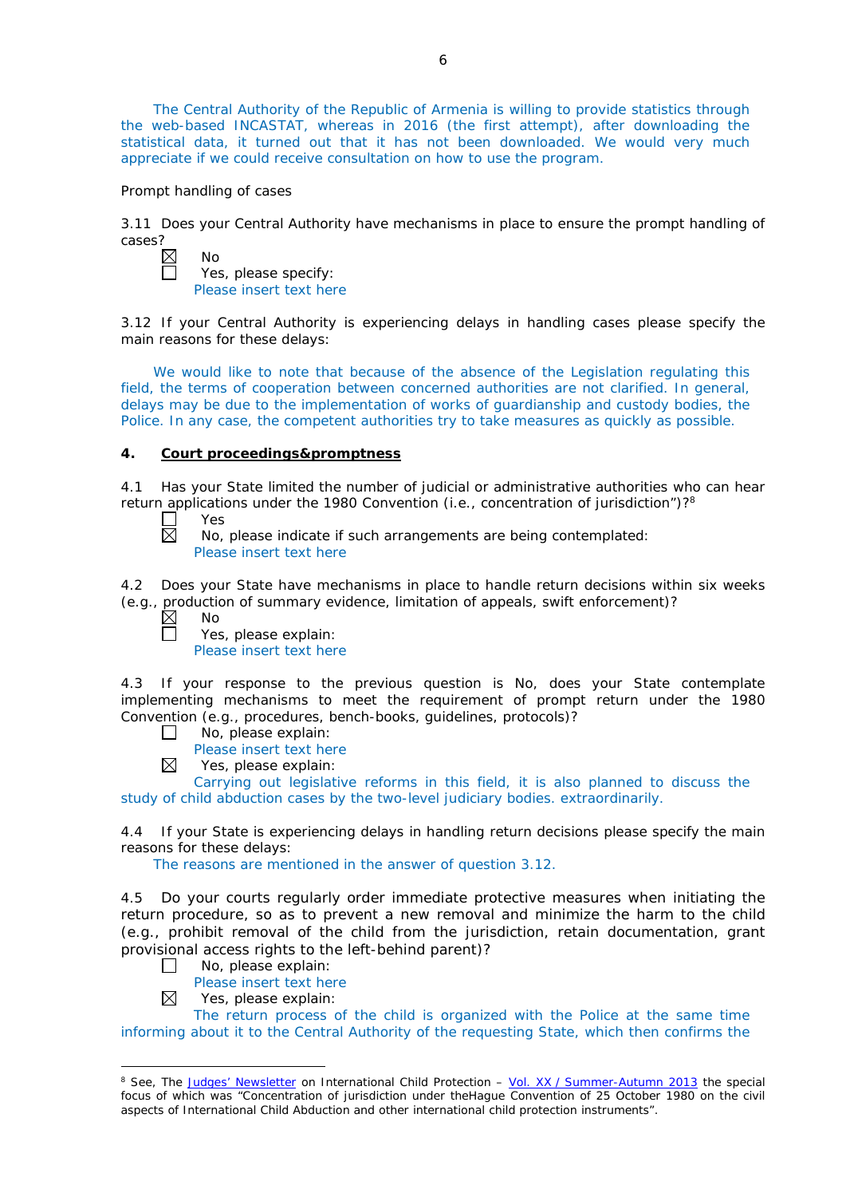The Central Authority of the Republic of Armenia is willing to provide statistics through the web-based INCASTAT, whereas in 2016 (the first attempt), after downloading the statistical data, it turned out that it has not been downloaded. We would very much appreciate if we could receive consultation on how to use the program.

#### *Prompt handling of cases*

3.11 Does your Central Authority have mechanisms in place to ensure the prompt handling of cases?<br> $\overline{\mathbb{Z}}$ 

| Nο                      |
|-------------------------|
| Yes, please specify:    |
| Please insert text here |

3.12 If your Central Authority is experiencing delays in handling cases please specify the main reasons for these delays:

We would like to note that because of the absence of the Legislation regulating this field, the terms of cooperation between concerned authorities are not clarified. In general, delays may be due to the implementation of works of guardianship and custody bodies, the Police. In any case, the competent authorities try to take measures as quickly as possible.

#### **4. Court proceedings&promptness**

4.1 Has your State limited the number of judicial or administrative authorities who can hear return applications under the 1980 Convention (*i.e.*, concentration of jurisdiction")?<sup>8</sup><br>  $\Box$  Yes<br>
No. please indicate if such arrangements are being contemplated:

Yes

No, please indicate if such arrangements are being contemplated: Please insert text here

4.2 Does your State have mechanisms in place to handle return decisions within six weeks (*e.g.*, production of summary evidence, limitation of appeals, swift enforcement)?

 $\boxtimes$ No  $\Box$ 

Yes, please explain: Please insert text here

4.3 If your response to the previous question is No, does your State contemplate implementing mechanisms to meet the requirement of prompt return under the 1980 Convention (*e.g.*, procedures, bench-books, guidelines, protocols)?

No, please explain:  $\Box$ 

Please insert text here  $\boxtimes$ 

Yes, please explain:

Carrying out legislative reforms in this field, it is also planned to discuss the study of child abduction cases by the two-level judiciary bodies. extraordinarily.

4.4 If your State is experiencing delays in handling return decisions please specify the main reasons for these delays:

The reasons are mentioned in the answer of question 3.12.

4.5 Do your courts regularly order immediate protective measures when initiating the return procedure, so as to prevent a new removal and minimize the harm to the child (*e.g.*, prohibit removal of the child from the jurisdiction, retain documentation, grant provisional access rights to the left-behind parent)?

- No, please explain:  $\Box$ 
	- Please insert text here
- Yes, please explain: ⊠

-

The return process of the child is organized with the Police at the same time informing about it to the Central Authority of the requesting State, which then confirms the

<sup>8</sup> See, *The [Judges' Newsletter](https://www.hcch.net/en/instruments/conventions/publications2/judges-newsletter)* on International Child Protection – Vol. XX / [Summer-Autumn 2013](https://assets.hcch.net/upload/newsletter/nl2013tome20en.pdf) the special focus of which was "Concentration of jurisdiction under the*Hague Convention of 25 October 1980 on the civil aspects of International Child Abduction* and other international child protection instruments".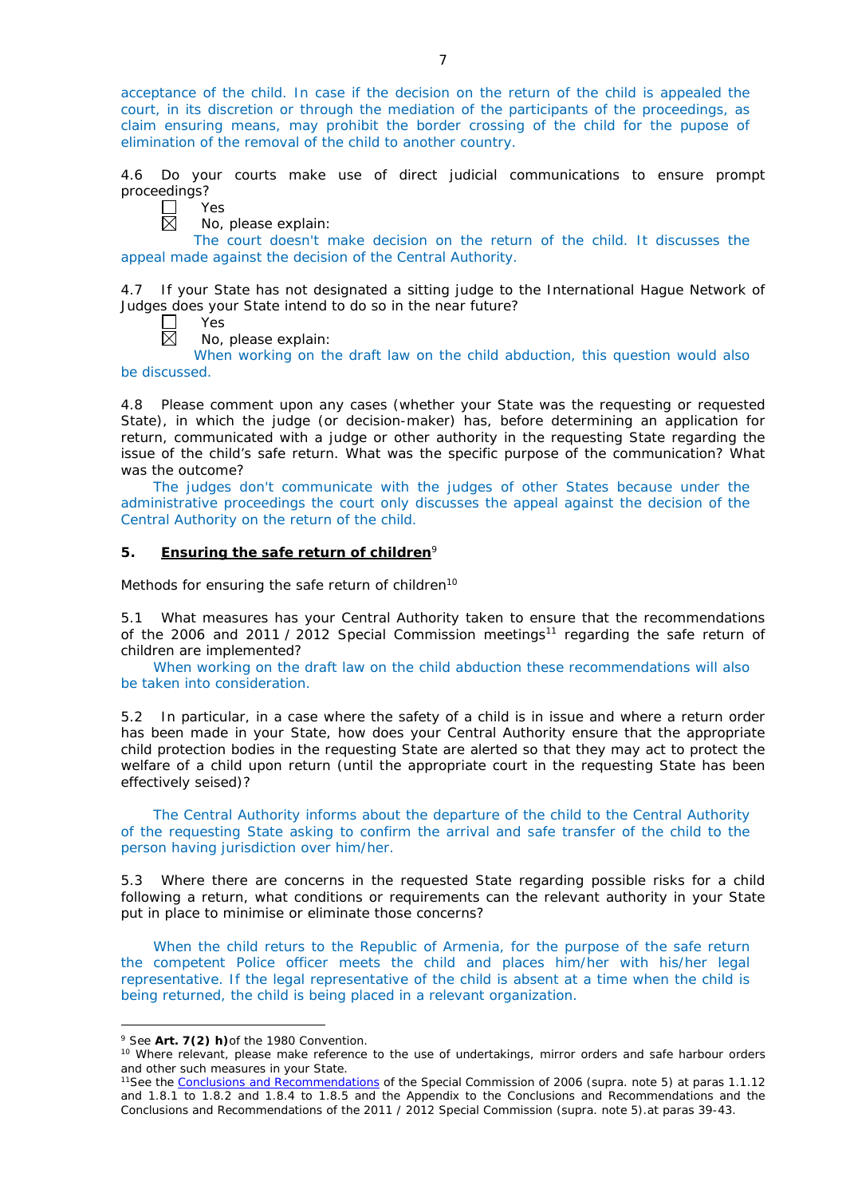acceptance of the child. In case if the decision on the return of the child is appealed the court, in its discretion or through the mediation of the participants of the proceedings, as claim ensuring means, may prohibit the border crossing of the child for the pupose of elimination of the removal of the child to another country.

4.6 Do your courts make use of direct judicial communications to ensure prompt proceedings?

 $\Box$ Yes  $\boxtimes$ 

No, please explain:

The court doesn't make decision on the return of the child. It discusses the appeal made against the decision of the Central Authority.

4.7 If your State has not designated a sitting judge to the International Hague Network of Judges does your State intend to do so in the near future?

- Yes  $\boxtimes$ 
	- No, please explain:

When working on the draft law on the child abduction, this question would also be discussed.

4.8 Please comment upon any cases (whether your State was the requesting or requested State), in which the judge (or decision-maker) has, before determining an application for return, communicated with a judge or other authority in the requesting State regarding the issue of the child's safe return. What was the specific purpose of the communication? What was the outcome?

The judges don't communicate with the judges of other States because under the administrative proceedings the court only discusses the appeal against the decision of the Central Authority on the return of the child.

### **5. Ensuring the safe return of children**<sup>9</sup>

*Methods for ensuring the safe return of children*<sup>10</sup>

5.1 What measures has your Central Authority taken to ensure that the recommendations of the 2006 and 2011 / 2012 Special Commission meetings<sup>11</sup> regarding the safe return of children are implemented?

When working on the draft law on the child abduction these recommendations will also be taken into consideration.

5.2 In particular, in a case where the safety of a child is in issue and where a return order has been made in your State, how does your Central Authority ensure that the appropriate child protection bodies in the *requesting* State are alerted so that they may act to protect the welfare of a child upon return (until the appropriate court in the requesting State has been effectively seised)?

The Central Authority informs about the departure of the child to the Central Authority of the requesting State asking to confirm the arrival and safe transfer of the child to the person having jurisdiction over him/her.

5.3 Where there are concerns in the requested State regarding possible risks for a child following a return, what conditions or requirements can the relevant authority in your State put in place to minimise or eliminate those concerns?

When the child returs to the Republic of Armenia, for the purpose of the safe return the competent Police officer meets the child and places him/her with his/her legal representative. If the legal representative of the child is absent at a time when the child is being returned, the child is being placed in a relevant organization.

-

<sup>9</sup> See **Art. 7(2)** *h)*of the 1980 Convention.

<sup>&</sup>lt;sup>10</sup> Where relevant, please make reference to the use of undertakings, mirror orders and safe harbour orders and other such measures in your State.

<sup>11</sup>See the [Conclusions and Recommendations](https://assets.hcch.net/upload/concl28sc5_e.pdf) of the Special Commission of 2006 (*supra.* note 5) at paras 1.1.12 and 1.8.1 to 1.8.2 and 1.8.4 to 1.8.5 and the Appendix to the Conclusions and Recommendations and the [Conclusions and Recommendations of the 2011](https://assets.hcch.net/upload/wop/concl28sc6_e.pdf) / 2012 Special Commission (*supra.* note 5).at paras 39-43.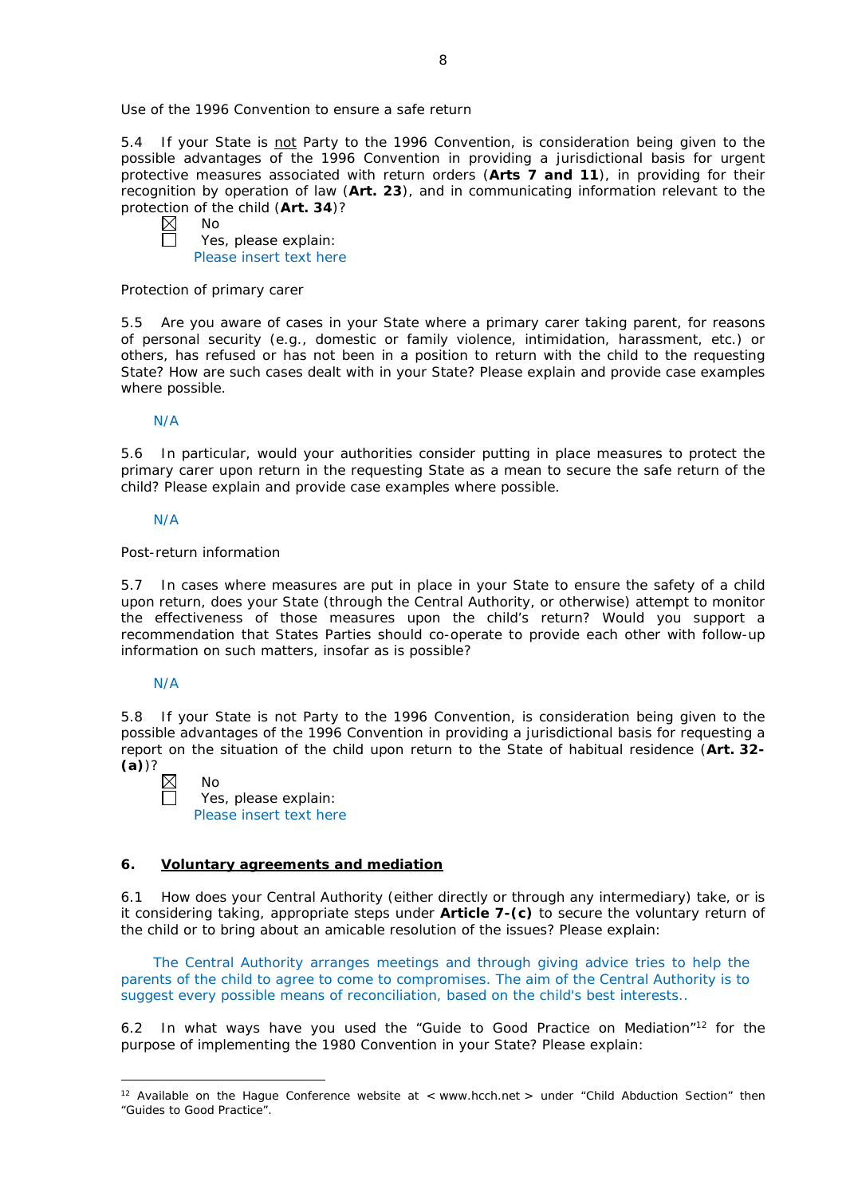*Use of the 1996 Convention to ensure a safe return*

5.4 If your State is not Party to the 1996 Convention, is consideration being given to the possible advantages of the 1996 Convention in providing a jurisdictional basis for urgent protective measures associated with return orders (**Arts 7 and 11**), in providing for their recognition by operation of law (**Art. 23**), and in communicating information relevant to the protection of the child (**Art. 34**)?

No Yes, please explain: Please insert text here

#### *Protection of primary carer*

5.5 Are you aware of cases in your State where a primary carer taking parent, for reasons of personal security (*e.g.*, domestic or family violence, intimidation, harassment, etc.) or others, has refused or has not been in a position to return with the child to the requesting State? How are such cases dealt with in your State? Please explain and provide case examples where possible.

### N/A

5.6 In particular, would your authorities consider putting in place measures to protect the primary carer upon return in the requesting State as a mean to secure the safe return of the child? Please explain and provide case examples where possible.

### N/A

### *Post-return information*

5.7 In cases where measures are put in place in your State to ensure the safety of a child upon return, does your State (through the Central Authority, or otherwise) attempt to monitor the effectiveness of those measures upon the child's return? Would you support a recommendation that States Parties should co-operate to provide each other with follow-up information on such matters, insofar as is possible?

### N/A

-

5.8 If your State is not Party to the 1996 Convention, is consideration being given to the possible advantages of the 1996 Convention in providing a jurisdictional basis for requesting a report on the situation of the child upon return to the State of habitual residence (**Art. 32- (a)**)?

| $\boxtimes$ | Nο                      |
|-------------|-------------------------|
| $\Box$      | Yes, please explain:    |
|             | Please insert text here |

### **6. Voluntary agreements and mediation**

6.1 How does your Central Authority (either directly or through any intermediary) take, or is it considering taking, appropriate steps under **Article 7-(c)** to secure the voluntary return of the child or to bring about an amicable resolution of the issues? Please explain:

The Central Authority arranges meetings and through giving advice tries to help the parents of the child to agree to come to compromises. The aim of the Central Authority is to suggest every possible means of reconciliation, based on the child's best interests..

6.2 In what ways have you used the "Guide to Good Practice on Mediation"12 for the purpose of implementing the 1980 Convention in your State? Please explain:

<sup>&</sup>lt;sup>12</sup> Available on the Hague Conference website at < www.hcch.net > under "Child Abduction Section" then "Guides to Good Practice".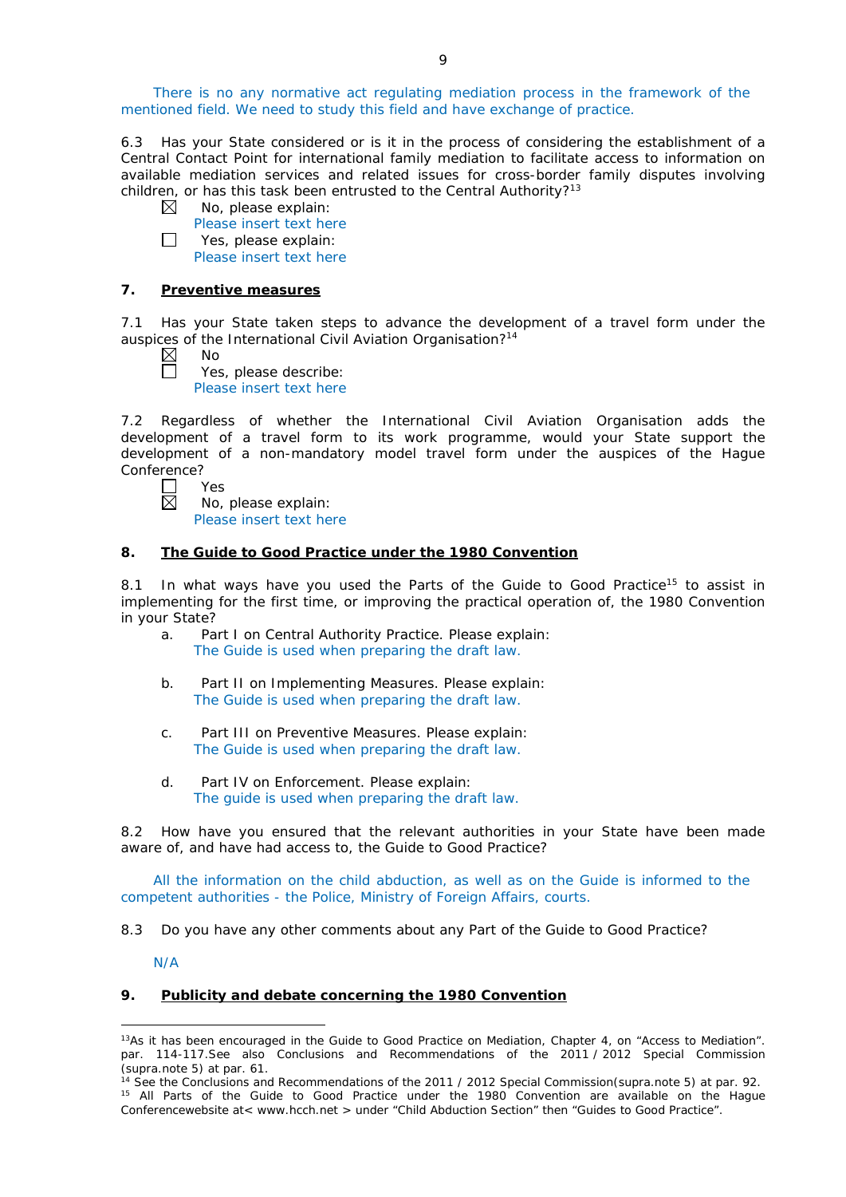There is no any normative act regulating mediation process in the framework of the mentioned field. We need to study this field and have exchange of practice.

6.3 Has your State considered or is it in the process of considering the establishment of a Central Contact Point for international family mediation to facilitate access to information on available mediation services and related issues for cross-border family disputes involving children, or has this task been entrusted to the Central Authority?<sup>13</sup>

- $\boxtimes$ No, please explain:
	- Please insert text here

П Yes, please explain: Please insert text here

### **7. Preventive measures**

7.1 Has your State taken steps to advance the development of a travel form under the auspices of the International Civil Aviation Organisation?<sup>14</sup>

| N٥ |  |
|----|--|
| ч  |  |

Yes, please describe: Please insert text here

7.2 Regardless of whether the International Civil Aviation Organisation adds the development of a travel form to its work programme, would your State support the development of a non-mandatory model travel form under the auspices of the Hague Conference?

|  | es |
|--|----|
|  | NΩ |

No, please explain: Please insert text here

## **8. The Guide to Good Practice under the 1980 Convention**

8.1 In what ways have you used the Parts of the Guide to Good Practice<sup>15</sup> to assist in implementing for the first time, or improving the practical operation of, the 1980 Convention in your State?

- a. Part I on Central Authority Practice. Please explain: The Guide is used when preparing the draft law.
- b. Part II on Implementing Measures. Please explain: The Guide is used when preparing the draft law.
- c. Part III on Preventive Measures. Please explain: The Guide is used when preparing the draft law.
- d. Part IV on Enforcement. Please explain: The guide is used when preparing the draft law.

8.2 How have you ensured that the relevant authorities in your State have been made aware of, and have had access to, the Guide to Good Practice?

All the information on the child abduction, as well as on the Guide is informed to the competent authorities - the Police, Ministry of Foreign Affairs, courts.

8.3 Do you have any other comments about any Part of the Guide to Good Practice?

N/A

-

### **9. Publicity and debate concerning the 1980 Convention**

 $13As$  it has been encouraged in the Guide to Good Practice on Mediation, Chapter 4, on "Access to Mediation". par. 114-117.See also [Conclusions and Recommendations of the 2011](https://assets.hcch.net/upload/wop/concl28sc6_e.pdf) / 2012 Special Commission (*supra.*note 5) at par. 61.

<sup>14</sup> See the [Conclusions and Recommendations of the 2011](https://assets.hcch.net/upload/wop/concl28sc6_e.pdf) / 2012 Special Commission(*supra.*note 5) at par. 92. <sup>15</sup> All Parts of the Guide to Good Practice under the 1980 Convention are available on the Hague Conferencewebsite at< www.hcch.net > under "Child Abduction Section" then "Guides to Good Practice".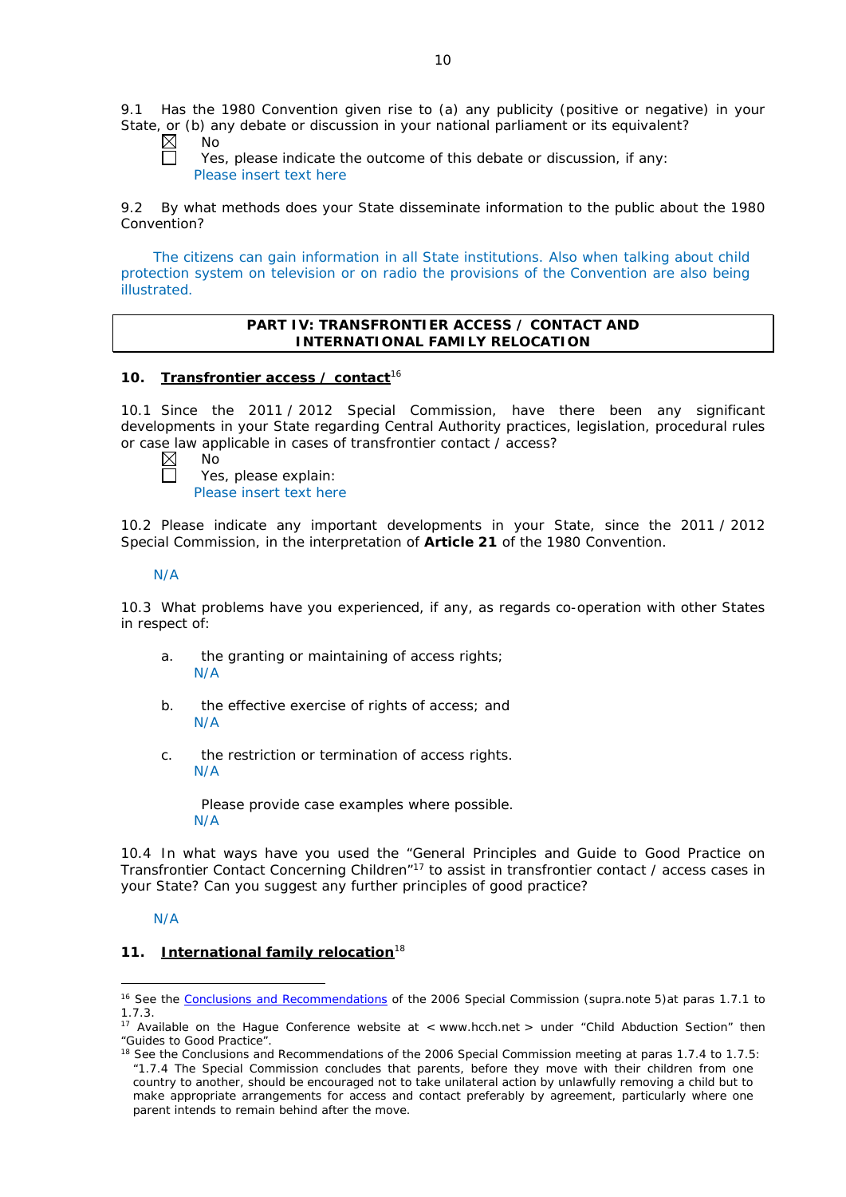9.1 Has the 1980 Convention given rise to (a) any publicity (positive or negative) in your State, or (b) any debate or discussion in your national parliament or its equivalent?

No

Yes, please indicate the outcome of this debate or discussion, if any: Please insert text here

9.2 By what methods does your State disseminate information to the public about the 1980 Convention?

The citizens can gain information in all State institutions. Also when talking about child protection system on television or on radio the provisions of the Convention are also being illustrated.

### **PART IV: TRANSFRONTIER ACCESS / CONTACT AND INTERNATIONAL FAMILY RELOCATION**

### **10. Transfrontier access / contact**<sup>16</sup>

10.1 Since the 2011 / 2012 Special Commission, have there been any significant developments in your State regarding Central Authority practices, legislation, procedural rules or case law applicable in cases of transfrontier contact / access?<br>  $\boxtimes$  No<br>
Yes, please explain:

| × | Nr |
|---|----|
|   |    |

Yes, please explain: Please insert text here

10.2 Please indicate any important developments in your State, since the 2011 / 2012 Special Commission, in the interpretation of **Article 21** of the 1980 Convention.

### N/A

10.3 What problems have you experienced, if any, as regards co-operation with other States in respect of:

- a. the granting or maintaining of access rights; N/A
- b. the effective exercise of rights of access; and N/A
- c. the restriction or termination of access rights. N/A

Please provide case examples where possible. N/A

10.4 In what ways have you used the "General Principles and Guide to Good Practice on Transfrontier Contact Concerning Children"17 to assist in transfrontier contact / access cases in your State? Can you suggest any further principles of good practice?

## N/A

<u>.</u>

## **11. International family relocation**<sup>18</sup>

<sup>16</sup> See the [Conclusions and Recommendations](https://assets.hcch.net/upload/concl28sc5_e.pdf) of the 2006 Special Commission (*supra.*note 5)at paras 1.7.1 to 1.7.3.

<sup>&</sup>lt;sup>17</sup> Available on the Hague Conference website at < www.hcch.net > under "Child Abduction Section" then "Guides to Good Practice".

<sup>&</sup>lt;sup>18</sup> See the Conclusions and Recommendations of the 2006 Special Commission meeting at paras 1.7.4 to 1.7.5: *"*1.7.4 The Special Commission concludes that parents, before they move with their children from one country to another, should be encouraged not to take unilateral action by unlawfully removing a child but to make appropriate arrangements for access and contact preferably by agreement, particularly where one parent intends to remain behind after the move.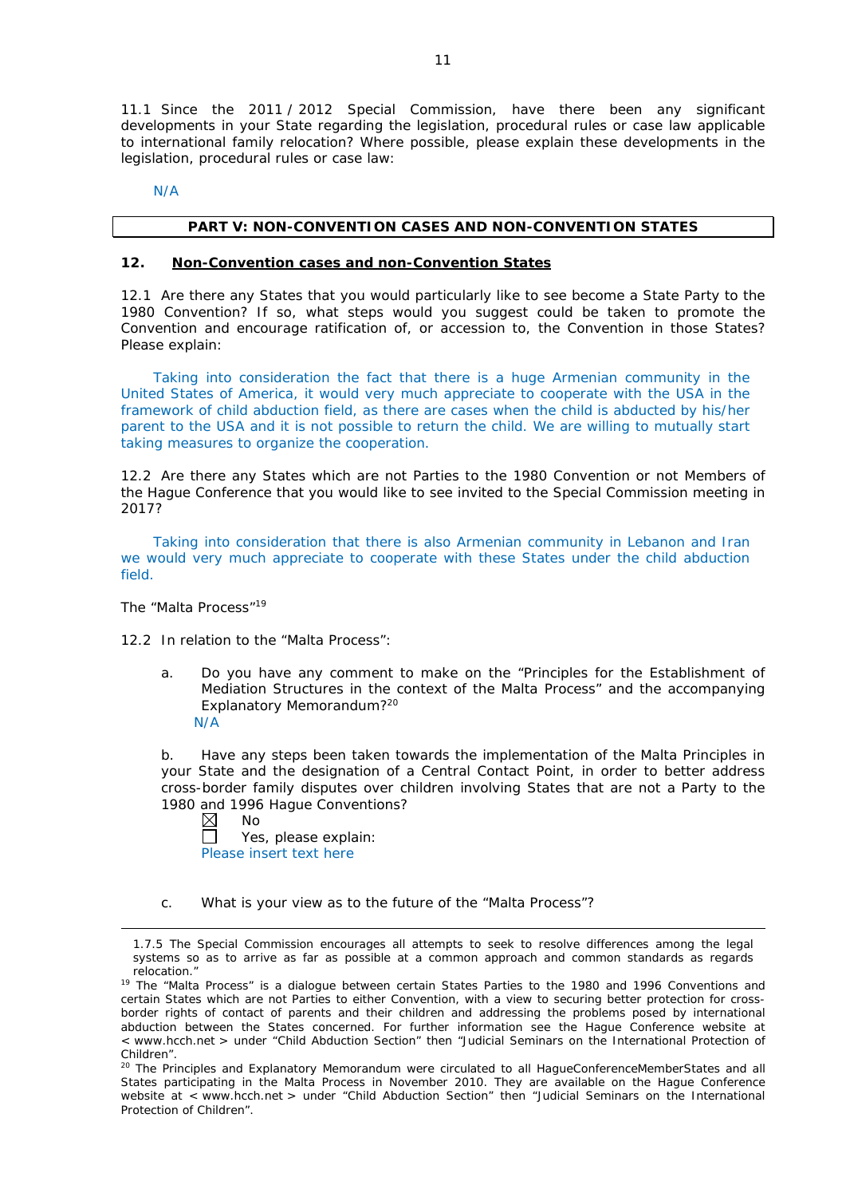11.1 Since the 2011 / 2012 Special Commission, have there been any significant developments in your State regarding the legislation, procedural rules or case law applicable to international family relocation? Where possible, please explain these developments in the legislation, procedural rules or case law:

N/A

#### **PART V: NON-CONVENTION CASES AND NON-CONVENTION STATES**

#### **12. Non-Convention cases and non-Convention States**

12.1 Are there any States that you would particularly like to see become a State Party to the 1980 Convention? If so, what steps would you suggest could be taken to promote the Convention and encourage ratification of, or accession to, the Convention in those States? Please explain:

Taking into consideration the fact that there is a huge Armenian community in the United States of America, it would very much appreciate to cooperate with the USA in the framework of child abduction field, as there are cases when the child is abducted by his/her parent to the USA and it is not possible to return the child. We are willing to mutually start taking measures to organize the cooperation.

12.2 Are there any States which are not Parties to the 1980 Convention or not Members of the Hague Conference that you would like to see invited to the Special Commission meeting in 2017?

Taking into consideration that there is also Armenian community in Lebanon and Iran we would very much appreciate to cooperate with these States under the child abduction field.

*The "Malta Process"*<sup>19</sup>

<u>.</u>

12.2 In relation to the "Malta Process":

a. Do you have any comment to make on the "Principles for the Establishment of Mediation Structures in the context of the Malta Process" and the accompanying Explanatory Memorandum?20 N/A

b. Have any steps been taken towards the implementation of the Malta Principles in your State and the designation of a Central Contact Point, in order to better address cross-border family disputes over children involving States that are not a Party to the 1980 and 1996 Hague Conventions?<br>  $\boxtimes$  No

No

戸 Yes, please explain: Please insert text here

c. What is your view as to the future of the "Malta Process"?

<sup>1.7.5</sup> The Special Commission encourages all attempts to seek to resolve differences among the legal systems so as to arrive as far as possible at a common approach and common standards as regards relocation."

<sup>&</sup>lt;sup>19</sup> The "Malta Process" is a dialogue between certain States Parties to the 1980 and 1996 Conventions and certain States which are not Parties to either Convention, with a view to securing better protection for crossborder rights of contact of parents and their children and addressing the problems posed by international abduction between the States concerned. For further information see the Hague Conference website at < www.hcch.net > under "Child Abduction Section" then "Judicial Seminars on the International Protection of Children".

<sup>20</sup> The Principles and Explanatory Memorandum were circulated to all HagueConferenceMemberStates and all States participating in the Malta Process in November 2010. They are available on the Hague Conference website at < www.hcch.net > under "Child Abduction Section" then "Judicial Seminars on the International Protection of Children".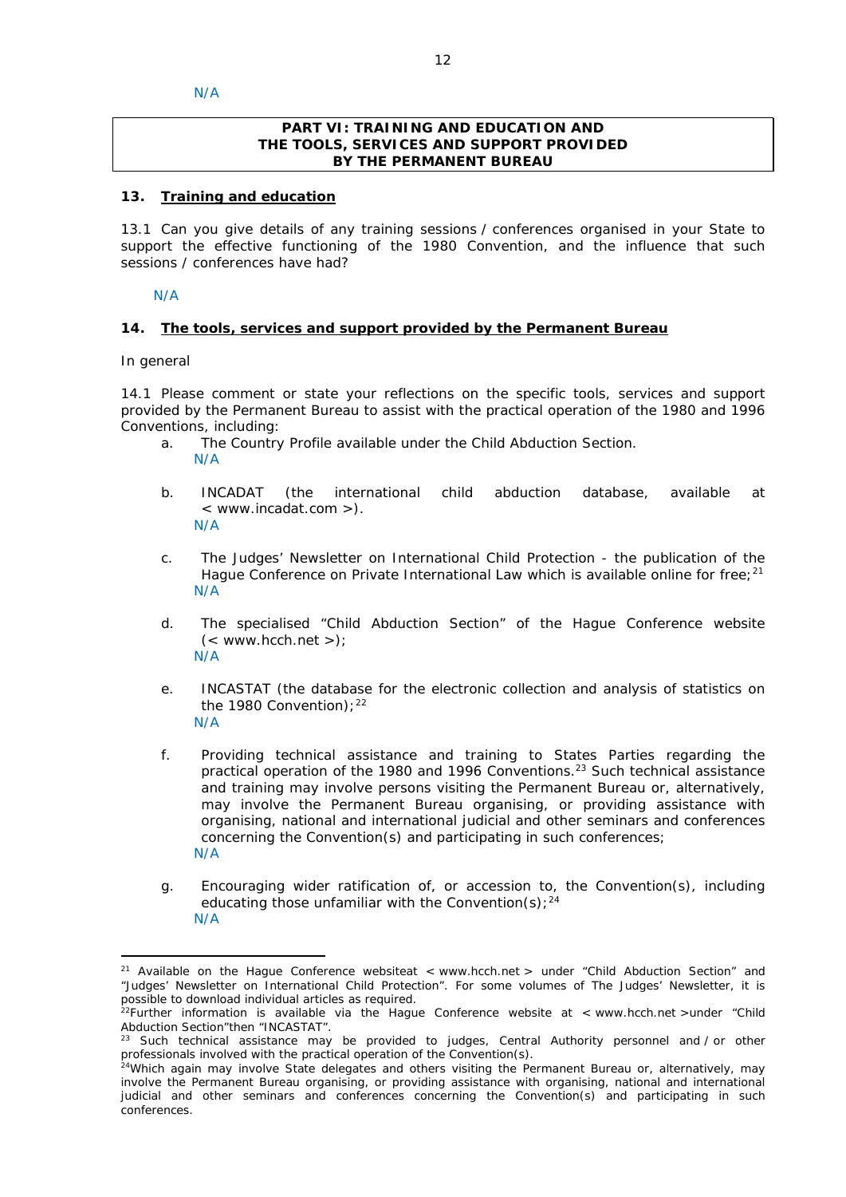### **PART VI: TRAINING AND EDUCATION AND THE TOOLS, SERVICES AND SUPPORT PROVIDED BY THE PERMANENT BUREAU**

### **13. Training and education**

13.1 Can you give details of any training sessions / conferences organised in your State to support the effective functioning of the 1980 Convention, and the influence that such sessions / conferences have had?

N/A

### **14. The tools, services and support provided by the Permanent Bureau**

*In general*

<u>.</u>

14.1 Please comment or state your reflections on the specific tools, services and support provided by the Permanent Bureau to assist with the practical operation of the 1980 and 1996 Conventions, including:

- a. The Country Profile available under the Child Abduction Section. N/A
- b. INCADAT (the international child abduction database, available at < www.incadat.com >). N/A
- c. *The Judges' Newsletter* on International Child Protection the publication of the Hague Conference on Private International Law which is available online for free;<sup>21</sup> N/A
- d. The specialised "Child Abduction Section" of the Hague Conference website  $(<$  www.hcch.net >); N/A
- e. INCASTAT (the database for the electronic collection and analysis of statistics on the 1980 Convention);  $22$ N/A
- f. Providing technical assistance and training to States Parties regarding the practical operation of the 1980 and 1996 Conventions.23 Such technical assistance and training may involve persons visiting the Permanent Bureau or, alternatively, may involve the Permanent Bureau organising, or providing assistance with organising, national and international judicial and other seminars and conferences concerning the Convention(s) and participating in such conferences; N/A
- g. Encouraging wider ratification of, or accession to, the Convention(s), including educating those unfamiliar with the Convention(s);  $24$ N/A

<sup>&</sup>lt;sup>21</sup> Available on the Hague Conference websiteat < www.hcch.net > under "Child Abduction Section" and "Judges' Newsletter on International Child Protection". For some volumes of *The Judges' Newsletter*, it is possible to download individual articles as required.

<sup>&</sup>lt;sup>22</sup>Further information is available via the Hague Conference website at  $\lt$  www.hcch.net >under "Child Abduction Section"then "INCASTAT".

Such technical assistance may be provided to judges, Central Authority personnel and / or other professionals involved with the practical operation of the Convention(s).

<sup>&</sup>lt;sup>24</sup>Which again may involve State delegates and others visiting the Permanent Bureau or, alternatively, may involve the Permanent Bureau organising, or providing assistance with organising, national and international judicial and other seminars and conferences concerning the Convention(s) and participating in such conferences.